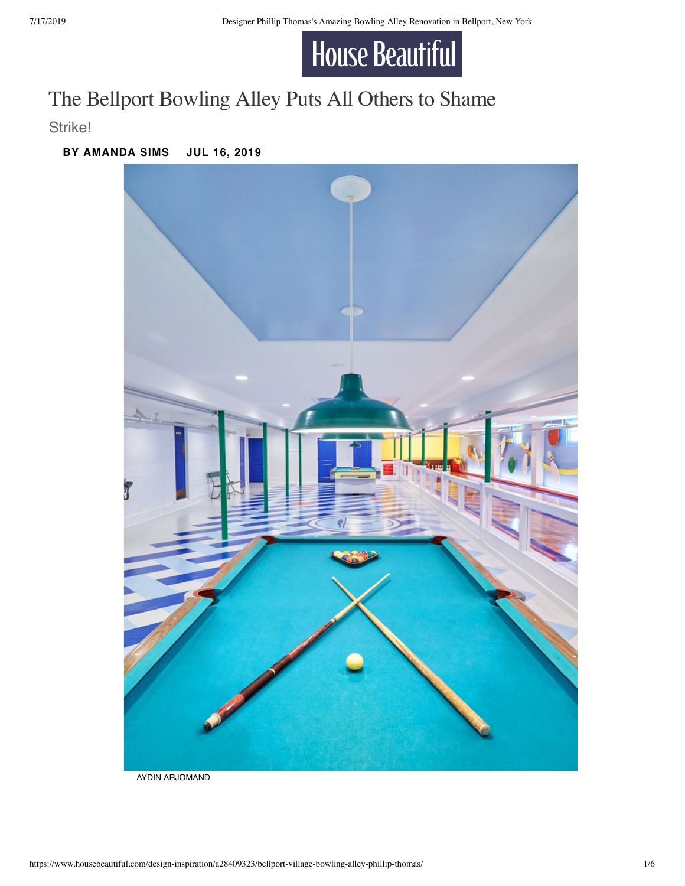

## The Bellport Bowling Alley Puts All Others to Shame

Strike!

## **BY [AMANDA SIMS](https://www.housebeautiful.com/author/221209/amanda-sims/) JUL 16, 2019**



AYDIN ARJOMAND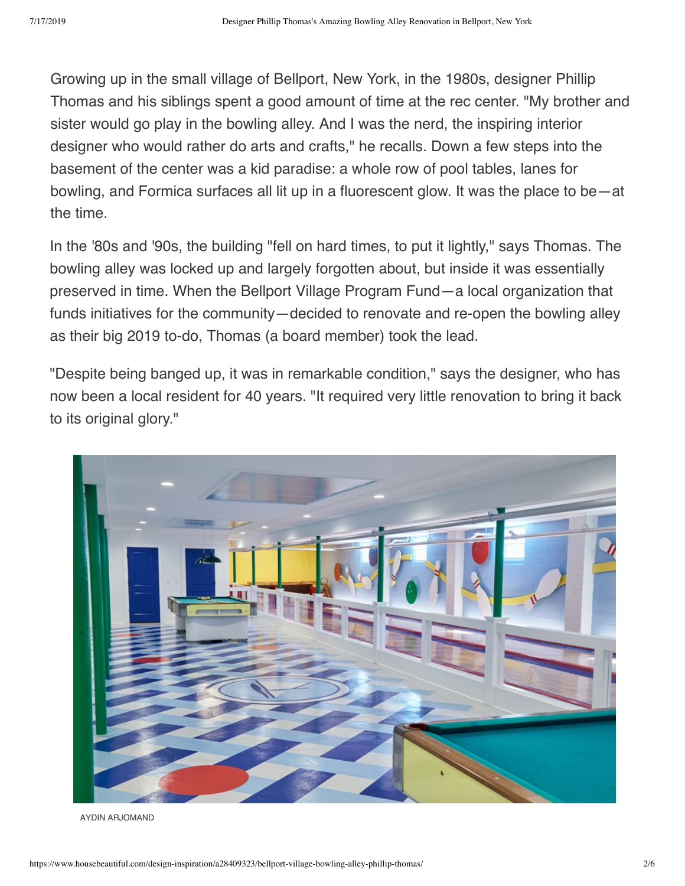Growing up in the small village of Bellport, New York, in the 1980s, designer Phillip Thomas and his siblings spent a good amount of time at the rec center. "My brother and sister would go play in the bowling alley. And I was the nerd, the inspiring interior designer who would rather do arts and crafts," he recalls. Down a few steps into the basement of the center was a kid paradise: a whole row of pool tables, lanes for bowling, and Formica surfaces all lit up in a fluorescent glow. It was the place to be—at the time.

In the '80s and '90s, the building "fell on hard times, to put it lightly," says Thomas. The bowling alley was locked up and largely forgotten about, but inside it was essentially preserved in time. When the Bellport Village Program Fund—a local organization that funds initiatives for the community—decided to renovate and re-open the bowling alley as their big 2019 to-do, Thomas (a board member) took the lead.

"Despite being banged up, it was in remarkable condition," says the designer, who has now been a local resident for 40 years. "It required very little renovation to bring it back to its original glory."



AYDIN ARJOMAND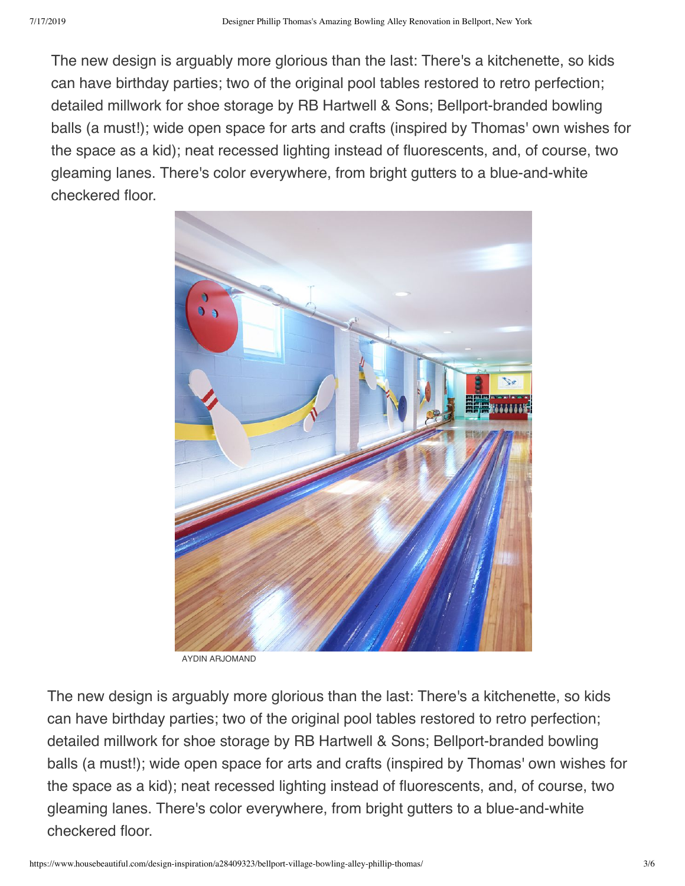The new design is arguably more glorious than the last: There's a kitchenette, so kids can have birthday parties; two of the original pool tables restored to retro perfection; detailed millwork for shoe storage by RB Hartwell & Sons; Bellport-branded bowling balls (a must!); wide open space for arts and crafts (inspired by Thomas' own wishes for the space as a kid); neat recessed lighting instead of fluorescents, and, of course, two gleaming lanes. There's color everywhere, from bright gutters to a blue-and-white checkered floor.



AYDIN ARJOMAND

The new design is arguably more glorious than the last: There's a kitchenette, so kids can have birthday parties; two of the original pool tables restored to retro perfection; detailed millwork for shoe storage by RB Hartwell & Sons; Bellport-branded bowling balls (a must!); wide open space for arts and crafts (inspired by Thomas' own wishes for the space as a kid); neat recessed lighting instead of fluorescents, and, of course, two gleaming lanes. There's color everywhere, from bright gutters to a blue-and-white checkered floor.